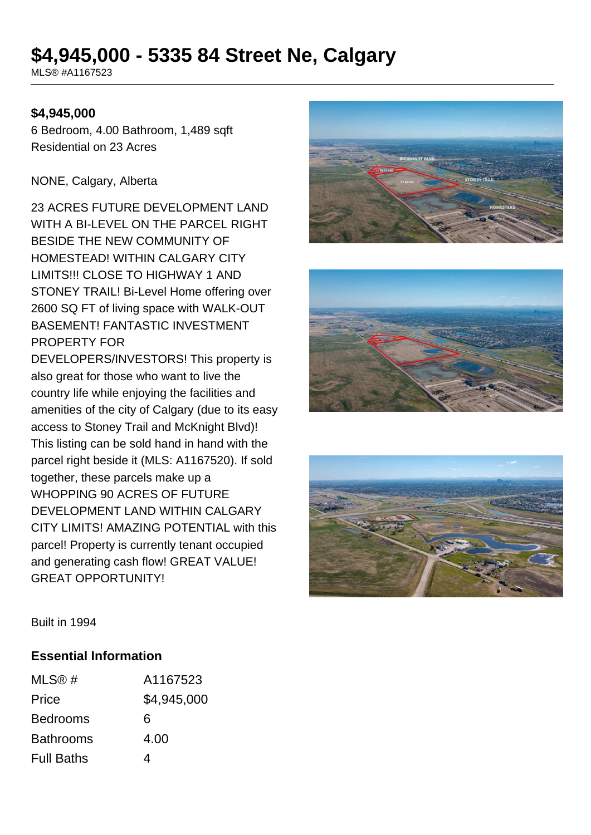# **\$4,945,000 - 5335 84 Street Ne, Calgary**

MLS® #A1167523

### **\$4,945,000**

6 Bedroom, 4.00 Bathroom, 1,489 sqft Residential on 23 Acres

#### NONE, Calgary, Alberta

23 ACRES FUTURE DEVELOPMENT LAND WITH A BI-LEVEL ON THE PARCEL RIGHT BESIDE THE NEW COMMUNITY OF HOMESTEAD! WITHIN CALGARY CITY LIMITS!!! CLOSE TO HIGHWAY 1 AND STONEY TRAIL! Bi-Level Home offering over 2600 SQ FT of living space with WALK-OUT BASEMENT! FANTASTIC INVESTMENT PROPERTY FOR

DEVELOPERS/INVESTORS! This property is also great for those who want to live the country life while enjoying the facilities and amenities of the city of Calgary (due to its easy access to Stoney Trail and McKnight Blvd)! This listing can be sold hand in hand with the parcel right beside it (MLS: A1167520). If sold together, these parcels make up a WHOPPING 90 ACRES OF FUTURE DEVELOPMENT LAND WITHIN CALGARY CITY LIMITS! AMAZING POTENTIAL with this parcel! Property is currently tenant occupied and generating cash flow! GREAT VALUE! GREAT OPPORTUNITY!







Built in 1994

#### **Essential Information**

| MLS@#             | A1167523    |
|-------------------|-------------|
| Price             | \$4,945,000 |
| <b>Bedrooms</b>   | 6           |
| <b>Bathrooms</b>  | 4.00        |
| <b>Full Baths</b> | 4           |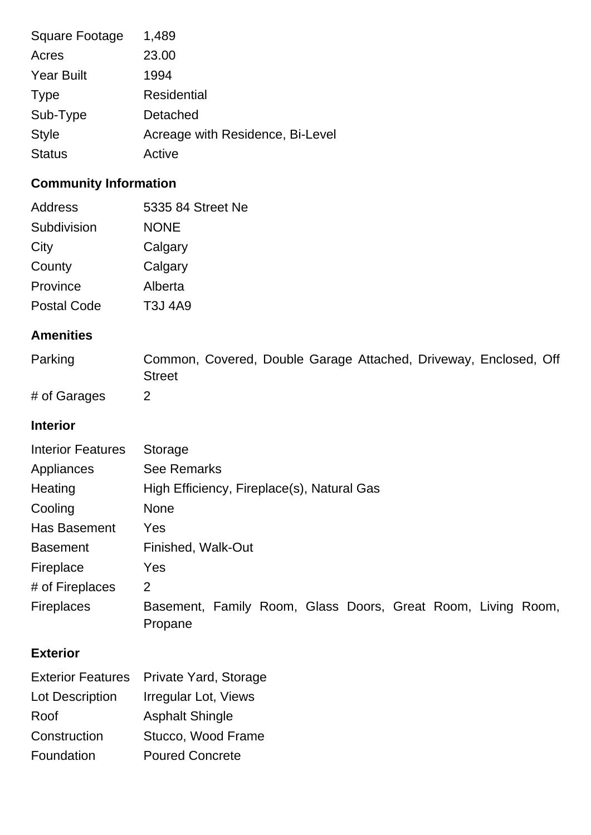| <b>Square Footage</b> | 1,489                            |
|-----------------------|----------------------------------|
| Acres                 | 23.00                            |
| <b>Year Built</b>     | 1994                             |
| <b>Type</b>           | <b>Residential</b>               |
| Sub-Type              | Detached                         |
| <b>Style</b>          | Acreage with Residence, Bi-Level |
| <b>Status</b>         | Active                           |

# **Community Information**

| 5335 84 Street Ne |
|-------------------|
| <b>NONE</b>       |
| Calgary           |
| Calgary           |
| Alberta           |
| <b>T3J 4A9</b>    |
|                   |

## **Amenities**

| Parking | Common, Covered, Double Garage Attached, Driveway, Enclosed, Off |  |  |  |
|---------|------------------------------------------------------------------|--|--|--|
|         | <b>Street</b>                                                    |  |  |  |
|         |                                                                  |  |  |  |

# of Garages 2

### **Interior**

| <b>Interior Features</b> | Storage                                                                 |  |  |  |
|--------------------------|-------------------------------------------------------------------------|--|--|--|
| Appliances               | <b>See Remarks</b>                                                      |  |  |  |
| Heating                  | High Efficiency, Fireplace(s), Natural Gas                              |  |  |  |
| Cooling                  | <b>None</b>                                                             |  |  |  |
| Has Basement             | Yes                                                                     |  |  |  |
| <b>Basement</b>          | Finished, Walk-Out                                                      |  |  |  |
| Fireplace                | Yes                                                                     |  |  |  |
| # of Fireplaces          | 2                                                                       |  |  |  |
| <b>Fireplaces</b>        | Basement, Family Room, Glass Doors, Great Room, Living Room,<br>Propane |  |  |  |

### **Exterior**

| <b>Exterior Features</b> | Private Yard, Storage  |
|--------------------------|------------------------|
| Lot Description          | Irregular Lot, Views   |
| Roof                     | <b>Asphalt Shingle</b> |
| Construction             | Stucco, Wood Frame     |
| Foundation               | <b>Poured Concrete</b> |